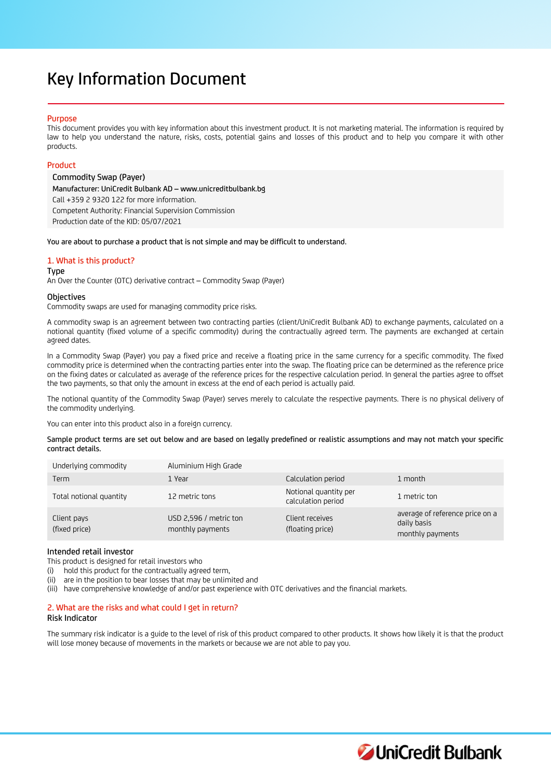# Key Information Document

## Purpose

This document provides you with key information about this investment product. It is not marketing material. The information is required by law to help you understand the nature, risks, costs, potential gains and losses of this product and to help you compare it with other products.

## Product

Commodity Swap (Payer) Manufacturer: UniCredit Bulbank AD – www.unicreditbulbank.bg Call +359 2 9320 122 for more information. Competent Authority: Financial Supervision Commission Production date of the KID: 05/07/2021

You are about to purchase a product that is not simple and may be difficult to understand.

# 1. What is this product?

#### Type

An Over the Counter (OTC) derivative contract – Commodity Swap (Payer)

## **Objectives**

Commodity swaps are used for managing commodity price risks.

A commodity swap is an agreement between two contracting parties (client/UniCredit Bulbank AD) to exchange payments, calculated on a notional quantity (fixed volume of a specific commodity) during the contractually agreed term. The payments are exchanged at certain agreed dates.

In a Commodity Swap (Payer) you pay a fixed price and receive a floating price in the same currency for a specific commodity. The fixed commodity price is determined when the contracting parties enter into the swap. The floating price can be determined as the reference price on the fixing dates or calculated as average of the reference prices for the respective calculation period. In general the parties agree to offset the two payments, so that only the amount in excess at the end of each period is actually paid.

The notional quantity of the Commodity Swap (Payer) serves merely to calculate the respective payments. There is no physical delivery of the commodity underlying.

You can enter into this product also in a foreign currency.

Sample product terms are set out below and are based on legally predefined or realistic assumptions and may not match your specific contract details.

| Underlying commodity         | Aluminium High Grade                       |                                             |                                                                    |
|------------------------------|--------------------------------------------|---------------------------------------------|--------------------------------------------------------------------|
| Term                         | 1 Year                                     | Calculation period                          | 1 month                                                            |
| Total notional quantity      | 12 metric tons                             | Notional quantity per<br>calculation period | 1 metric ton                                                       |
| Client pays<br>(fixed price) | USD 2,596 / metric ton<br>monthly payments | Client receives<br>(floating price)         | average of reference price on a<br>daily basis<br>monthly payments |

## Intended retail investor

This product is designed for retail investors who

(i) hold this product for the contractually agreed term,

(ii) are in the position to bear losses that may be unlimited and

(iii) have comprehensive knowledge of and/or past experience with OTC derivatives and the financial markets.

# 2. What are the risks and what could I get in return?

## Risk Indicator

The summary risk indicator is a guide to the level of risk of this product compared to other products. It shows how likely it is that the product will lose money because of movements in the markets or because we are not able to pay you.

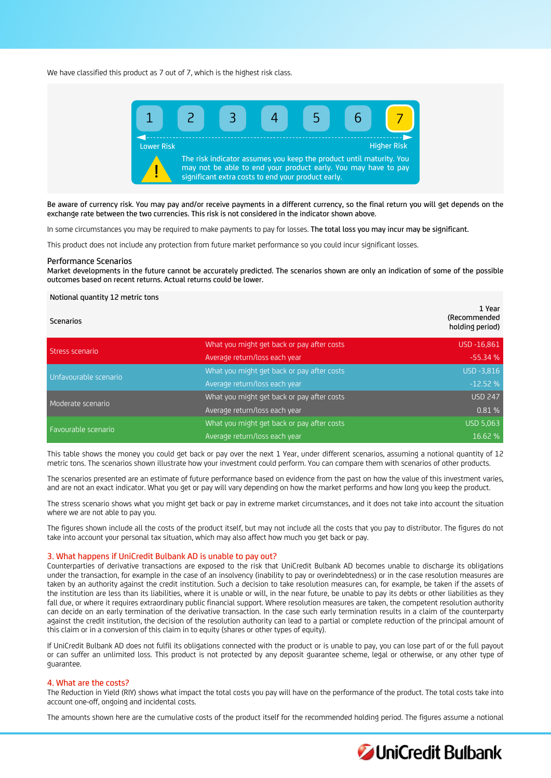We have classified this product as 7 out of 7, which is the highest risk class.



Be aware of currency risk. You may pay and/or receive payments in a different currency, so the final return you will get depends on the exchange rate between the two currencies. This risk is not considered in the indicator shown above.

In some circumstances you may be required to make payments to pay for losses. The total loss you may incur may be significant.

This product does not include any protection from future market performance so you could incur significant losses.

#### Performance Scenarios

Market developments in the future cannot be accurately predicted. The scenarios shown are only an indication of some of the possible outcomes based on recent returns. Actual returns could be lower.

#### Notional quantity 12 metric tons

| <b>Scenarios</b>      |                                            | 1 Year<br>(Recommended<br>holding period) |
|-----------------------|--------------------------------------------|-------------------------------------------|
| Stress scenario       | What you might get back or pay after costs | USD -16,861                               |
|                       | Average return/loss each year              | $-55.34%$                                 |
| Unfavourable scenario | What you might get back or pay after costs | USD -3,816                                |
|                       | Average return/loss each year              | $-12.52%$                                 |
| Moderate scenario     | What you might get back or pay after costs | <b>USD 247</b>                            |
|                       | Average return/loss each year              | 0.81 %                                    |
| Favourable scenario   | What you might get back or pay after costs | <b>USD 5,063</b>                          |
|                       | Average return/loss each year              | 16.62 %                                   |

This table shows the money you could get back or pay over the next 1 Year, under different scenarios, assuming a notional quantity of 12 metric tons. The scenarios shown illustrate how your investment could perform. You can compare them with scenarios of other products.

The scenarios presented are an estimate of future performance based on evidence from the past on how the value of this investment varies, and are not an exact indicator. What you get or pay will vary depending on how the market performs and how long you keep the product.

The stress scenario shows what you might get back or pay in extreme market circumstances, and it does not take into account the situation where we are not able to pay you.

The figures shown include all the costs of the product itself, but may not include all the costs that you pay to distributor. The figures do not take into account your personal tax situation, which may also affect how much you get back or pay.

#### 3. What happens if UniCredit Bulbank AD is unable to pay out?

Counterparties of derivative transactions are exposed to the risk that UniCredit Bulbank AD becomes unable to discharge its obligations under the transaction, for example in the case of an insolvency (inability to pay or overindebtedness) or in the case resolution measures are taken by an authority against the credit institution. Such a decision to take resolution measures can, for example, be taken if the assets of the institution are less than its liabilities, where it is unable or will, in the near future, be unable to pay its debts or other liabilities as they fall due, or where it requires extraordinary public financial support. Where resolution measures are taken, the competent resolution authority can decide on an early termination of the derivative transaction. In the case such early termination results in a claim of the counterparty against the credit institution, the decision of the resolution authority can lead to a partial or complete reduction of the principal amount of this claim or in a conversion of this claim in to equity (shares or other types of equity).

If UniCredit Bulbank AD does not fulfil its obligations connected with the product or is unable to pay, you can lose part of or the full payout or can suffer an unlimited loss. This product is not protected by any deposit guarantee scheme, legal or otherwise, or any other type of guarantee.

## 4. What are the costs?

The Reduction in Yield (RIY) shows what impact the total costs you pay will have on the performance of the product. The total costs take into account one-off, ongoing and incidental costs.

The amounts shown here are the cumulative costs of the product itself for the recommended holding period. The figures assume a notional